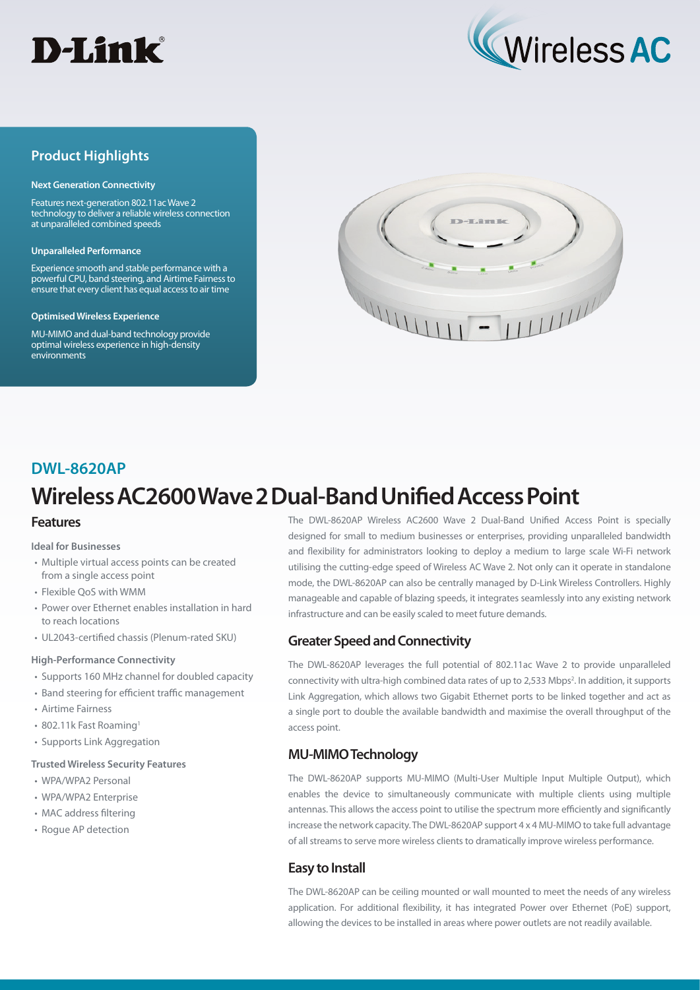



## **Product Highlights**

#### **Next Generation Connectivity**

Features next-generation 802.11ac Wave 2 technology to deliver a reliable wireless connection at unparalleled combined speeds

#### **Unparalleled Performance**

Experience smooth and stable performance with a powerful CPU, band steering, and Airtime Fairness to ensure that every client has equal access to air time

#### **Optimised Wireless Experience**

MU-MIMO and dual-band technology provide optimal wireless experience in high-density environments



### **DWL-8620AP**

# **Wireless AC2600 Wave 2 Dual-Band Unified Access Point**

#### **Features**

**Ideal for Businesses**

- Multiple virtual access points can be created from a single access point
- Flexible QoS with WMM
- Power over Ethernet enables installation in hard to reach locations
- UL2043-certified chassis (Plenum-rated SKU)

#### **High-Performance Connectivity**

- Supports 160 MHz channel for doubled capacity
- Band steering for efficient traffic management
- Airtime Fairness
- 802.11k Fast Roaming1
- Supports Link Aggregation

#### **Trusted Wireless Security Features**

- WPA/WPA2 Personal
- WPA/WPA2 Enterprise
- MAC address filtering
- Rogue AP detection

The DWL-8620AP Wireless AC2600 Wave 2 Dual-Band Unified Access Point is specially designed for small to medium businesses or enterprises, providing unparalleled bandwidth and flexibility for administrators looking to deploy a medium to large scale Wi-Fi network utilising the cutting-edge speed of Wireless AC Wave 2. Not only can it operate in standalone mode, the DWL-8620AP can also be centrally managed by D-Link Wireless Controllers. Highly manageable and capable of blazing speeds, it integrates seamlessly into any existing network infrastructure and can be easily scaled to meet future demands.

#### **Greater Speed and Connectivity**

The DWL-8620AP leverages the full potential of 802.11ac Wave 2 to provide unparalleled connectivity with ultra-high combined data rates of up to 2,533 Mbps<sup>2</sup>. In addition, it supports Link Aggregation, which allows two Gigabit Ethernet ports to be linked together and act as a single port to double the available bandwidth and maximise the overall throughput of the access point.

#### **MU-MIMO Technology**

The DWL-8620AP supports MU-MIMO (Multi-User Multiple Input Multiple Output), which enables the device to simultaneously communicate with multiple clients using multiple antennas. This allows the access point to utilise the spectrum more efficiently and significantly increase the network capacity. The DWL-8620AP support 4 x 4 MU-MIMO to take full advantage of all streams to serve more wireless clients to dramatically improve wireless performance.

#### **Easy to Install**

The DWL-8620AP can be ceiling mounted or wall mounted to meet the needs of any wireless application. For additional flexibility, it has integrated Power over Ethernet (PoE) support, allowing the devices to be installed in areas where power outlets are not readily available.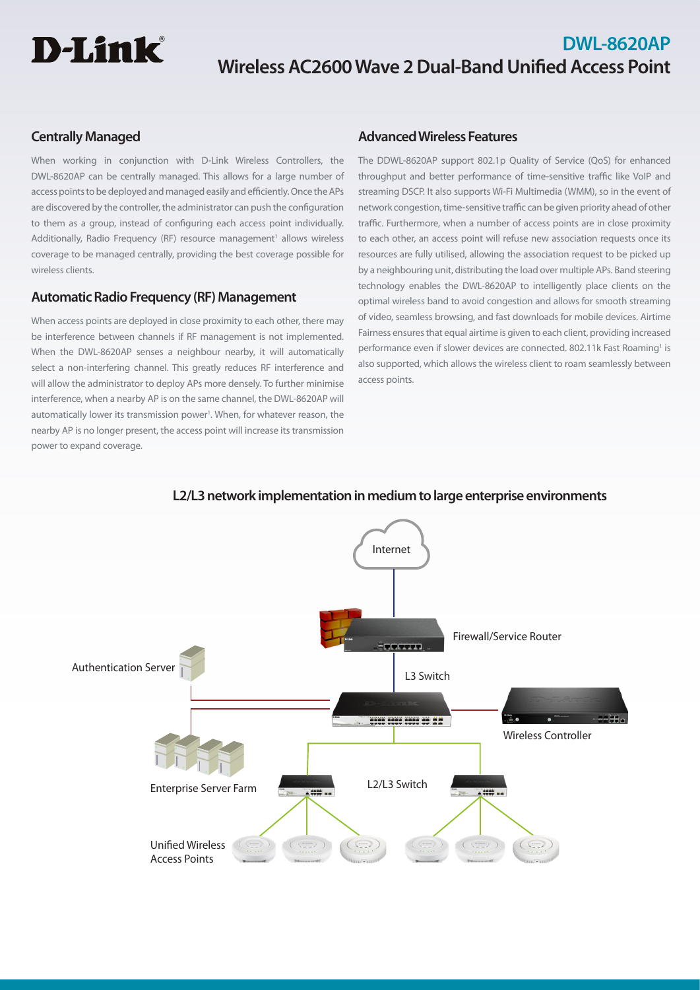# **D-Link**

# **DWL-8620AP Wireless AC2600 Wave 2 Dual-Band Unified Access Point**

# **Centrally Managed**

When working in conjunction with D-Link Wireless Controllers, the DWL-8620AP can be centrally managed. This allows for a large number of access points to be deployed and managed easily and efficiently. Once the APs are discovered by the controller, the administrator can push the configuration to them as a group, instead of configuring each access point individually. Additionally, Radio Frequency (RF) resource management<sup>1</sup> allows wireless coverage to be managed centrally, providing the best coverage possible for wireless clients.

# **Automatic Radio Frequency (RF) Management**

When access points are deployed in close proximity to each other, there may be interference between channels if RF management is not implemented. When the DWL-8620AP senses a neighbour nearby, it will automatically select a non-interfering channel. This greatly reduces RF interference and will allow the administrator to deploy APs more densely. To further minimise interference, when a nearby AP is on the same channel, the DWL-8620AP will automatically lower its transmission power<sup>1</sup>. When, for whatever reason, the nearby AP is no longer present, the access point will increase its transmission power to expand coverage.

# **Advanced Wireless Features**

The DDWL-8620AP support 802.1p Quality of Service (QoS) for enhanced throughput and better performance of time-sensitive traffic like VoIP and streaming DSCP. It also supports Wi-Fi Multimedia (WMM), so in the event of network congestion, time-sensitive traffic can be given priority ahead of other traffic. Furthermore, when a number of access points are in close proximity to each other, an access point will refuse new association requests once its resources are fully utilised, allowing the association request to be picked up by a neighbouring unit, distributing the load over multiple APs. Band steering technology enables the DWL-8620AP to intelligently place clients on the optimal wireless band to avoid congestion and allows for smooth streaming of video, seamless browsing, and fast downloads for mobile devices. Airtime Fairness ensures that equal airtime is given to each client, providing increased performance even if slower devices are connected. 802.11k Fast Roaming<sup>1</sup> is also supported, which allows the wireless client to roam seamlessly between access points.



# **L2/L3 network implementation in medium to large enterprise environments**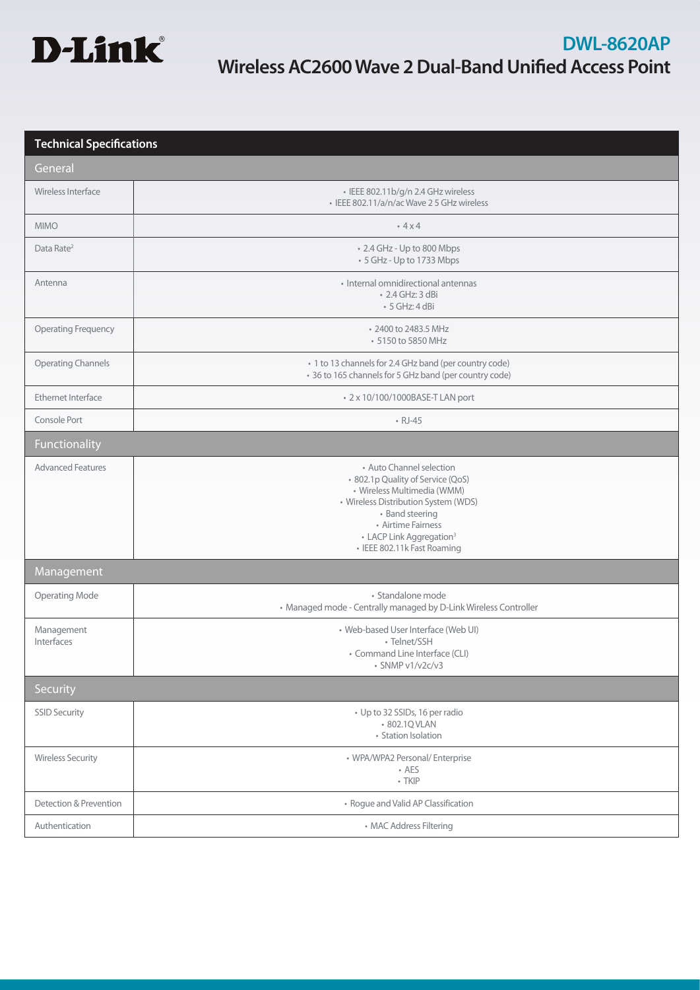

# **Technical Specifications**

| General                    |                                                                                                                                                                                                                                                      |  |  |  |
|----------------------------|------------------------------------------------------------------------------------------------------------------------------------------------------------------------------------------------------------------------------------------------------|--|--|--|
| Wireless Interface         | · IEEE 802.11b/g/n 2.4 GHz wireless<br>· IEEE 802.11/a/n/ac Wave 2 5 GHz wireless                                                                                                                                                                    |  |  |  |
| <b>MIMO</b>                | .4x4                                                                                                                                                                                                                                                 |  |  |  |
| Data Rate <sup>2</sup>     | • 2.4 GHz - Up to 800 Mbps<br>• 5 GHz - Up to 1733 Mbps                                                                                                                                                                                              |  |  |  |
| Antenna                    | • Internal omnidirectional antennas<br>• 2.4 GHz: 3 dBi<br>$\cdot$ 5 GHz: 4 dBi                                                                                                                                                                      |  |  |  |
| <b>Operating Frequency</b> | • 2400 to 2483.5 MHz<br>• 5150 to 5850 MHz                                                                                                                                                                                                           |  |  |  |
| <b>Operating Channels</b>  | • 1 to 13 channels for 2.4 GHz band (per country code)<br>• 36 to 165 channels for 5 GHz band (per country code)                                                                                                                                     |  |  |  |
| <b>Ethernet Interface</b>  | • 2 x 10/100/1000BASE-T LAN port                                                                                                                                                                                                                     |  |  |  |
| Console Port               | $\cdot$ RJ-45                                                                                                                                                                                                                                        |  |  |  |
| Functionality              |                                                                                                                                                                                                                                                      |  |  |  |
| <b>Advanced Features</b>   | • Auto Channel selection<br>· 802.1p Quality of Service (QoS)<br>• Wireless Multimedia (WMM)<br>• Wireless Distribution System (WDS)<br>• Band steering<br>• Airtime Fairness<br>• LACP Link Aggregation <sup>3</sup><br>· IEEE 802.11k Fast Roaming |  |  |  |
| Management                 |                                                                                                                                                                                                                                                      |  |  |  |
| <b>Operating Mode</b>      | · Standalone mode<br>• Managed mode - Centrally managed by D-Link Wireless Controller                                                                                                                                                                |  |  |  |
| Management<br>Interfaces   | • Web-based User Interface (Web UI)<br>· Telnet/SSH<br>• Command Line Interface (CLI)<br>$\cdot$ SNMP v1/v2c/v3                                                                                                                                      |  |  |  |
| Security                   |                                                                                                                                                                                                                                                      |  |  |  |
| <b>SSID Security</b>       | • Up to 32 SSIDs, 16 per radio<br>• 802.1Q VLAN<br>• Station Isolation                                                                                                                                                                               |  |  |  |
| <b>Wireless Security</b>   | • WPA/WPA2 Personal/ Enterprise<br>$\cdot$ AES<br>$\cdot$ TKIP                                                                                                                                                                                       |  |  |  |
| Detection & Prevention     | • Rogue and Valid AP Classification                                                                                                                                                                                                                  |  |  |  |
| Authentication             | • MAC Address Filtering                                                                                                                                                                                                                              |  |  |  |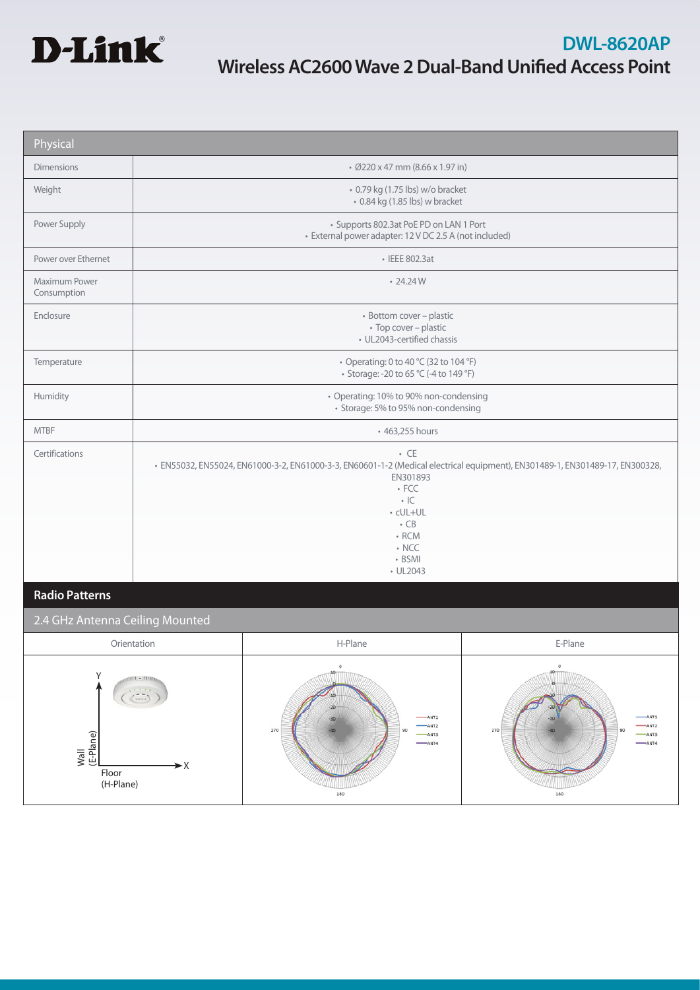

| Physical                                                                                              |                                                                                                                                                                                                                                                                   |                                                                                                                      |                                                                                                                            |  |
|-------------------------------------------------------------------------------------------------------|-------------------------------------------------------------------------------------------------------------------------------------------------------------------------------------------------------------------------------------------------------------------|----------------------------------------------------------------------------------------------------------------------|----------------------------------------------------------------------------------------------------------------------------|--|
| <b>Dimensions</b>                                                                                     | • Ø220 x 47 mm (8.66 x 1.97 in)                                                                                                                                                                                                                                   |                                                                                                                      |                                                                                                                            |  |
| Weight                                                                                                | • 0.79 kg (1.75 lbs) w/o bracket<br>• 0.84 kg (1.85 lbs) w bracket                                                                                                                                                                                                |                                                                                                                      |                                                                                                                            |  |
| Power Supply                                                                                          | • Supports 802.3at PoE PD on LAN 1 Port<br>· External power adapter: 12 V DC 2.5 A (not included)                                                                                                                                                                 |                                                                                                                      |                                                                                                                            |  |
| Power over Ethernet                                                                                   | • IEEE 802.3at                                                                                                                                                                                                                                                    |                                                                                                                      |                                                                                                                            |  |
| Maximum Power<br>Consumption                                                                          | $\cdot$ 24.24 W                                                                                                                                                                                                                                                   |                                                                                                                      |                                                                                                                            |  |
| Enclosure                                                                                             | · Bottom cover - plastic<br>• Top cover - plastic<br>· UL2043-certified chassis                                                                                                                                                                                   |                                                                                                                      |                                                                                                                            |  |
| Temperature                                                                                           | • Operating: 0 to 40 °C (32 to 104 °F)<br>• Storage: -20 to 65 °C (-4 to 149 °F)                                                                                                                                                                                  |                                                                                                                      |                                                                                                                            |  |
| Humidity                                                                                              | • Operating: 10% to 90% non-condensing<br>• Storage: 5% to 95% non-condensing                                                                                                                                                                                     |                                                                                                                      |                                                                                                                            |  |
| <b>MTBF</b>                                                                                           | • 463,255 hours                                                                                                                                                                                                                                                   |                                                                                                                      |                                                                                                                            |  |
| Certifications                                                                                        | $\cdot$ CE<br>· EN55032, EN55024, EN61000-3-2, EN61000-3-3, EN60601-1-2 (Medical electrical equipment), EN301489-1, EN301489-17, EN300328,<br>EN301893<br>$\cdot$ FCC<br>$\cdot$ IC<br>• cUL+UL<br>$\cdot$ CB<br>$\cdot$ RCM<br>$\cdot$ NCC<br>• BSMI<br>• UL2043 |                                                                                                                      |                                                                                                                            |  |
| <b>Radio Patterns</b>                                                                                 |                                                                                                                                                                                                                                                                   |                                                                                                                      |                                                                                                                            |  |
| 2.4 GHz Antenna Ceiling Mounted                                                                       |                                                                                                                                                                                                                                                                   |                                                                                                                      |                                                                                                                            |  |
| Orientation                                                                                           |                                                                                                                                                                                                                                                                   | H-Plane                                                                                                              | E-Plane                                                                                                                    |  |
| γ<br>$H\overline{H1}$ - $\overline{H1}\overline{H1}$<br>(E-Plane)<br>Wall<br>►X<br>Floor<br>(H-Plane) |                                                                                                                                                                                                                                                                   | $\circ$<br>$40^{\circ}$<br>$+50-$<br>$-20$<br>$-ANT1$<br>$-30$<br>$-ANT2$<br>270<br>90<br>$-ANT3$<br>$-$ ANT4<br>180 | $\mathbf 0$<br>40<br>ю<br>$-20$<br>ANT <sub>1</sub><br>$-30$<br>ANT <sub>2</sub><br>270<br>90<br>$-ANT3$<br>$-ANT4$<br>180 |  |